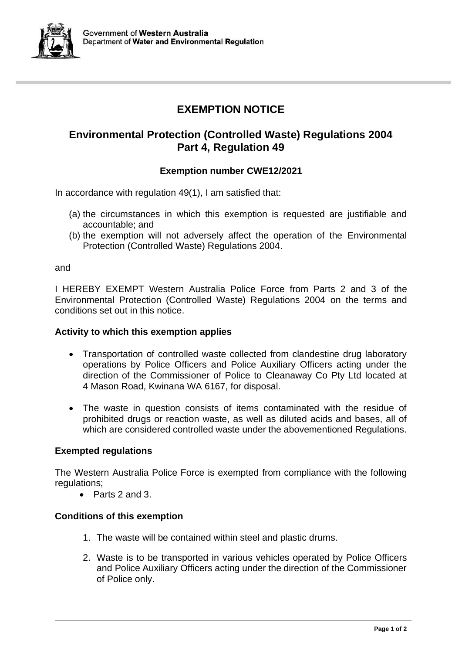

# **EXEMPTION NOTICE**

# **Environmental Protection (Controlled Waste) Regulations 2004 Part 4, Regulation 49**

## **Exemption number CWE12/2021**

In accordance with regulation 49(1), I am satisfied that:

- (a) the circumstances in which this exemption is requested are justifiable and accountable; and
- (b) the exemption will not adversely affect the operation of the Environmental Protection (Controlled Waste) Regulations 2004.

and

I HEREBY EXEMPT Western Australia Police Force from Parts 2 and 3 of the Environmental Protection (Controlled Waste) Regulations 2004 on the terms and conditions set out in this notice.

### **Activity to which this exemption applies**

- Transportation of controlled waste collected from clandestine drug laboratory operations by Police Officers and Police Auxiliary Officers acting under the direction of the Commissioner of Police to Cleanaway Co Pty Ltd located at 4 Mason Road, Kwinana WA 6167, for disposal.
- The waste in question consists of items contaminated with the residue of prohibited drugs or reaction waste, as well as diluted acids and bases, all of which are considered controlled waste under the abovementioned Regulations.

### **Exempted regulations**

The Western Australia Police Force is exempted from compliance with the following regulations:

• Parts 2 and 3.

### **Conditions of this exemption**

- 1. The waste will be contained within steel and plastic drums.
- 2. Waste is to be transported in various vehicles operated by Police Officers and Police Auxiliary Officers acting under the direction of the Commissioner of Police only.